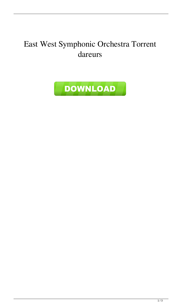## East West Symphonic Orchestra Torrent dareurs

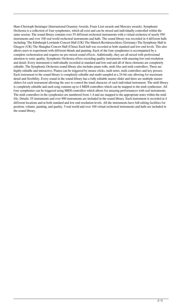Hans-Christoph Steininger (International Grammy Awards, Franz Liszt awards and Mercury awards). Symphonic Orchestra is a collection of four symphonies, which all exist and can be mixed and individually controlled within the same session. The sound library contains over 55 different orchestral instruments with a virtual orchestra of nearly 950 instruments and over 100 real world orchestral instruments and halls. The sound library was recorded in 4 different halls including: The Edinburgh Lowlands Concert Hall (UK) The Munich Residenzschloss (Germany) The Symphony Hall in Glasgow (UK) The Shanghai Concert Hall (China) Each hall was recorded at both standard and low-end levels. This also allows users to experiment with different blends and panning. Each of the four symphonies is accompanied by a complete orchestration and requires no pre-mixed sound effects. Additionally, they are all mixed with professional attention to sonic quality. Symphonic Orchestra offers recording quality instruments with amazing low-end resolution and detail. Every instrument is individually recorded at standard and low-end and all of these elements are completely editable. The Symphonic Orchestra sound library also includes piano rolls, midi files and midi controllers. These are highly editable and interactive. Pianos can be triggered by mouse clicks, midi notes, midi controllers and key presses. Each instrument in the sound library is completely editable and multi-sampled at a 24-bit rate allowing for maximum detail and flexibility. Every sound in the sound library has a fully editable master slider and there are multiple master sliders for each instrument allowing the user to control the tonal character of each individual instrument. The midi library is completely editable and each song contains up to 4 MIDI controllers which can be mapped to the midi synthesizer. All four symphonies can be triggered using MIDI controllers which allows for amazing performances with real instruments. The midi controllers in the symphonies are numbered from 1-4 and are mapped to the appropriate notes within the midi file. Details: 55 instruments and over 900 instruments are included in the sound library. Each instrument is recorded at 4 different locations and at both standard and low-end resolution levels. All the instruments have full editing facilities for position, volume, panning, and quality. 5 real world and over 100 virtual orchestral instruments and halls are included in the sound library.